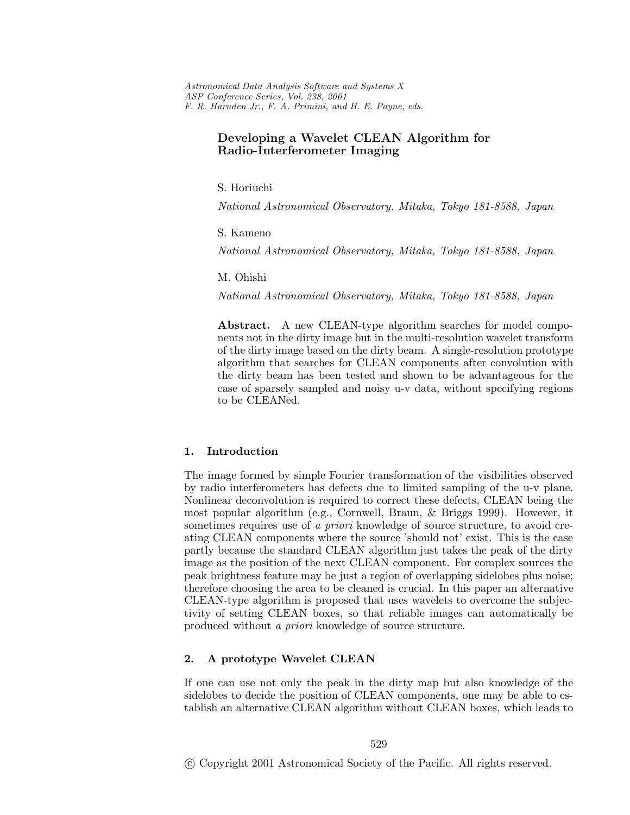# **Developing a Wavelet CLEAN Algorithm for Radio-Interferometer Imaging**

S. Horiuchi

*National Astronomical Observatory, Mitaka, Tokyo 181-8588, Japan*

S. Kameno

*National Astronomical Observatory, Mitaka, Tokyo 181-8588, Japan*

M. Ohishi

*National Astronomical Observatory, Mitaka, Tokyo 181-8588, Japan*

**Abstract.** A new CLEAN-type algorithm searches for model components not in the dirty image but in the multi-resolution wavelet transform of the dirty image based on the dirty beam. A single-resolution prototype algorithm that searches for CLEAN components after convolution with the dirty beam has been tested and shown to be advantageous for the case of sparsely sampled and noisy u-v data, without specifying regions to be CLEANed.

## **1. Introduction**

The image formed by simple Fourier transformation of the visibilities observed by radio interferometers has defects due to limited sampling of the u-v plane. Nonlinear deconvolution is required to correct these defects, CLEAN being the most popular algorithm (e.g., Cornwell, Braun, & Briggs 1999). However, it sometimes requires use of *a priori* knowledge of source structure, to avoid creating CLEAN components where the source 'should not' exist. This is the case partly because the standard CLEAN algorithm just takes the peak of the dirty image as the position of the next CLEAN component. For complex sources the peak brightness feature may be just a region of overlapping sidelobes plus noise; therefore choosing the area to be cleaned is crucial. In this paper an alternative CLEAN-type algorithm is proposed that uses wavelets to overcome the subjectivity of setting CLEAN boxes, so that reliable images can automatically be produced without *a priori* knowledge of source structure.

## **2. A prototype Wavelet CLEAN**

If one can use not only the peak in the dirty map but also knowledge of the sidelobes to decide the position of CLEAN components, one may be able to establish an alternative CLEAN algorithm without CLEAN boxes, which leads to

c Copyright 2001 Astronomical Society of the Pacific. All rights reserved.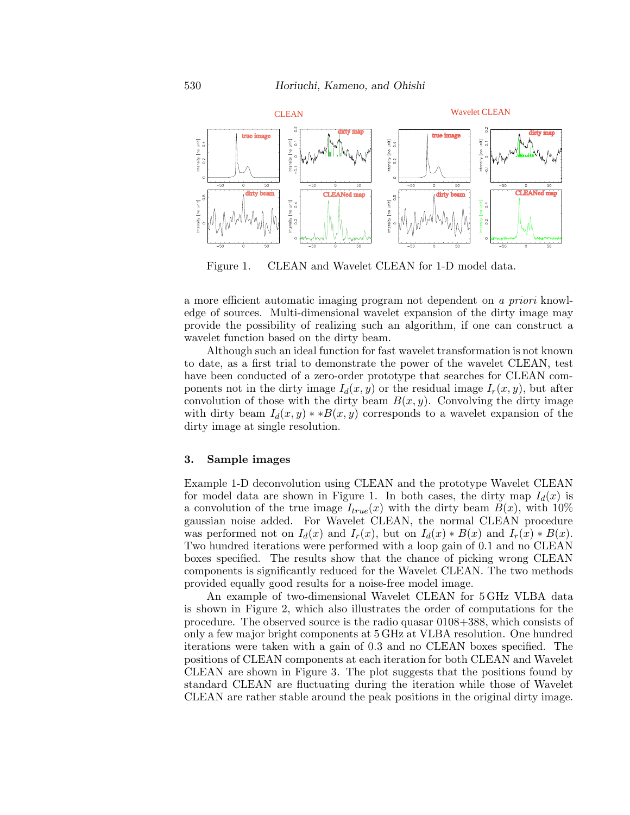

Figure 1. CLEAN and Wavelet CLEAN for 1-D model data.

a more efficient automatic imaging program not dependent on *a priori* knowledge of sources. Multi-dimensional wavelet expansion of the dirty image may provide the possibility of realizing such an algorithm, if one can construct a wavelet function based on the dirty beam.

Although such an ideal function for fast wavelet transformation is not known to date, as a first trial to demonstrate the power of the wavelet CLEAN, test have been conducted of a zero-order prototype that searches for CLEAN components not in the dirty image  $I_d(x, y)$  or the residual image  $I_r(x, y)$ , but after convolution of those with the dirty beam  $B(x, y)$ . Convolving the dirty image with dirty beam  $I_d(x, y) * B(x, y)$  corresponds to a wavelet expansion of the dirty image at single resolution.

#### **3. Sample images**

Example 1-D deconvolution using CLEAN and the prototype Wavelet CLEAN for model data are shown in Figure 1. In both cases, the dirty map  $I_d(x)$  is a convolution of the true image  $I_{true}(x)$  with the dirty beam  $B(x)$ , with 10% gaussian noise added. For Wavelet CLEAN, the normal CLEAN procedure was performed not on  $I_d(x)$  and  $I_r(x)$ , but on  $I_d(x) * B(x)$  and  $I_r(x) * B(x)$ . Two hundred iterations were performed with a loop gain of 0.1 and no CLEAN boxes specified. The results show that the chance of picking wrong CLEAN components is significantly reduced for the Wavelet CLEAN. The two methods provided equally good results for a noise-free model image.

An example of two-dimensional Wavelet CLEAN for 5 GHz VLBA data is shown in Figure 2, which also illustrates the order of computations for the procedure. The observed source is the radio quasar 0108+388, which consists of only a few major bright components at 5 GHz at VLBA resolution. One hundred iterations were taken with a gain of 0.3 and no CLEAN boxes specified. The positions of CLEAN components at each iteration for both CLEAN and Wavelet CLEAN are shown in Figure 3. The plot suggests that the positions found by standard CLEAN are fluctuating during the iteration while those of Wavelet CLEAN are rather stable around the peak positions in the original dirty image.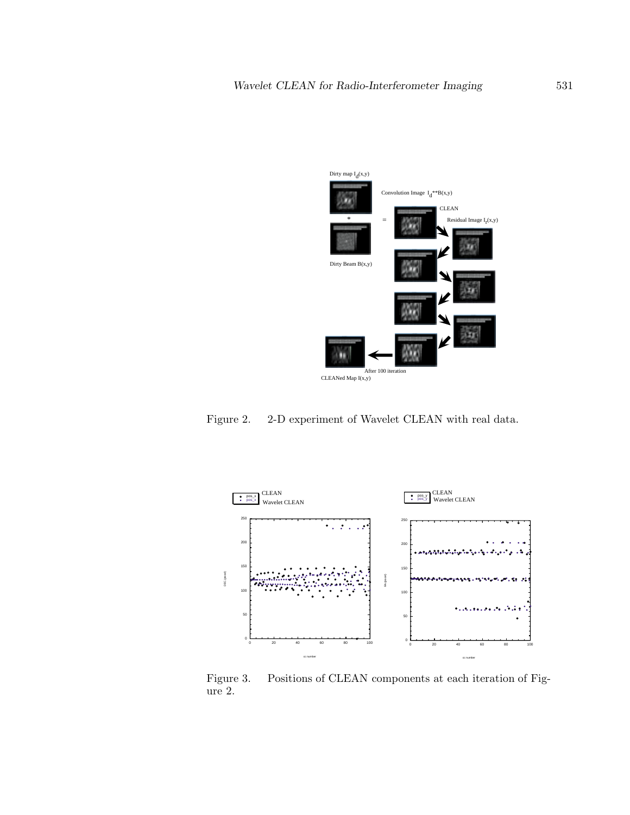

Figure 2. 2-D experiment of Wavelet CLEAN with real data.



Figure 3. Positions of CLEAN components at each iteration of Figure 2.